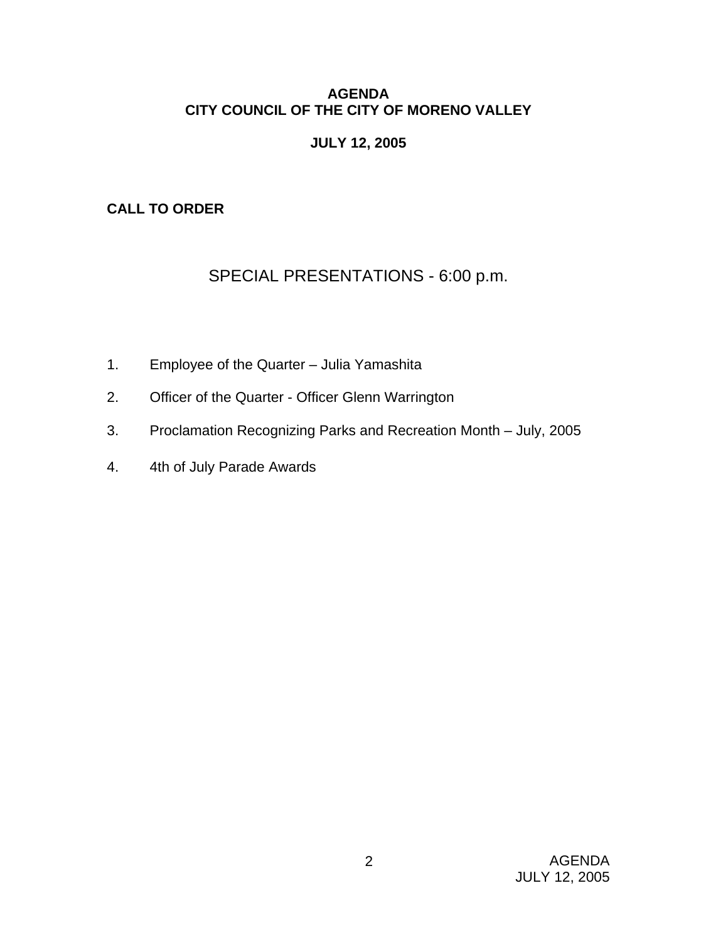# **AGENDA CITY COUNCIL OF THE CITY OF MORENO VALLEY**

# **JULY 12, 2005**

# **CALL TO ORDER**

# SPECIAL PRESENTATIONS - 6:00 p.m.

- 1. Employee of the Quarter Julia Yamashita
- 2. Officer of the Quarter Officer Glenn Warrington
- 3. Proclamation Recognizing Parks and Recreation Month July, 2005
- 4. 4th of July Parade Awards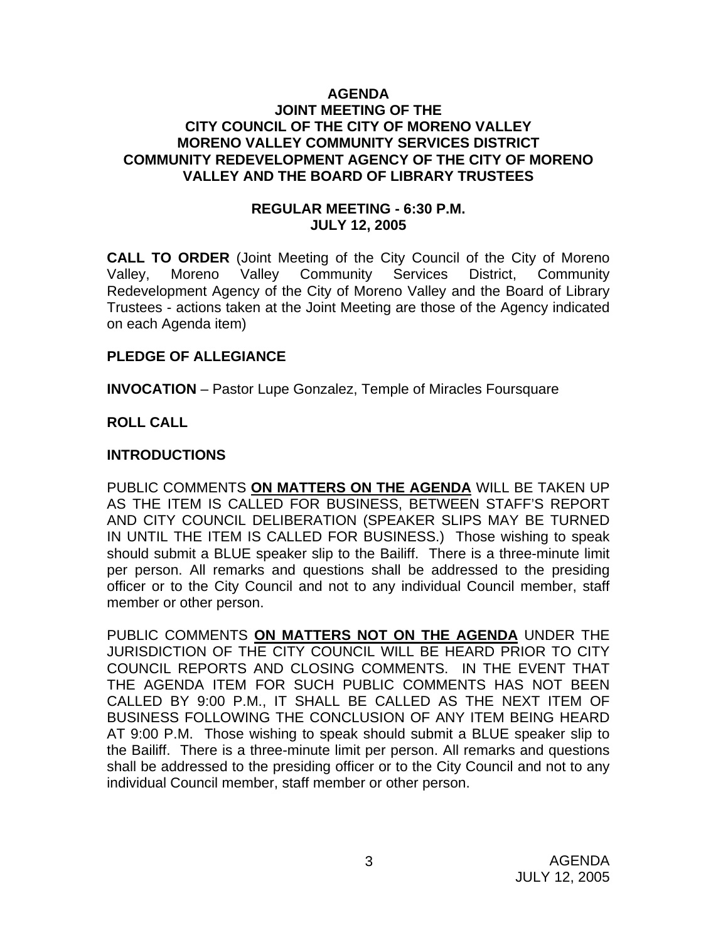#### **AGENDA JOINT MEETING OF THE CITY COUNCIL OF THE CITY OF MORENO VALLEY MORENO VALLEY COMMUNITY SERVICES DISTRICT COMMUNITY REDEVELOPMENT AGENCY OF THE CITY OF MORENO VALLEY AND THE BOARD OF LIBRARY TRUSTEES**

### **REGULAR MEETING - 6:30 P.M. JULY 12, 2005**

**CALL TO ORDER** (Joint Meeting of the City Council of the City of Moreno Valley, Moreno Valley Community Services District, Community Redevelopment Agency of the City of Moreno Valley and the Board of Library Trustees - actions taken at the Joint Meeting are those of the Agency indicated on each Agenda item)

### **PLEDGE OF ALLEGIANCE**

**INVOCATION** – Pastor Lupe Gonzalez, Temple of Miracles Foursquare

# **ROLL CALL**

# **INTRODUCTIONS**

PUBLIC COMMENTS **ON MATTERS ON THE AGENDA** WILL BE TAKEN UP AS THE ITEM IS CALLED FOR BUSINESS, BETWEEN STAFF'S REPORT AND CITY COUNCIL DELIBERATION (SPEAKER SLIPS MAY BE TURNED IN UNTIL THE ITEM IS CALLED FOR BUSINESS.) Those wishing to speak should submit a BLUE speaker slip to the Bailiff. There is a three-minute limit per person. All remarks and questions shall be addressed to the presiding officer or to the City Council and not to any individual Council member, staff member or other person.

PUBLIC COMMENTS **ON MATTERS NOT ON THE AGENDA** UNDER THE JURISDICTION OF THE CITY COUNCIL WILL BE HEARD PRIOR TO CITY COUNCIL REPORTS AND CLOSING COMMENTS. IN THE EVENT THAT THE AGENDA ITEM FOR SUCH PUBLIC COMMENTS HAS NOT BEEN CALLED BY 9:00 P.M., IT SHALL BE CALLED AS THE NEXT ITEM OF BUSINESS FOLLOWING THE CONCLUSION OF ANY ITEM BEING HEARD AT 9:00 P.M. Those wishing to speak should submit a BLUE speaker slip to the Bailiff. There is a three-minute limit per person. All remarks and questions shall be addressed to the presiding officer or to the City Council and not to any individual Council member, staff member or other person.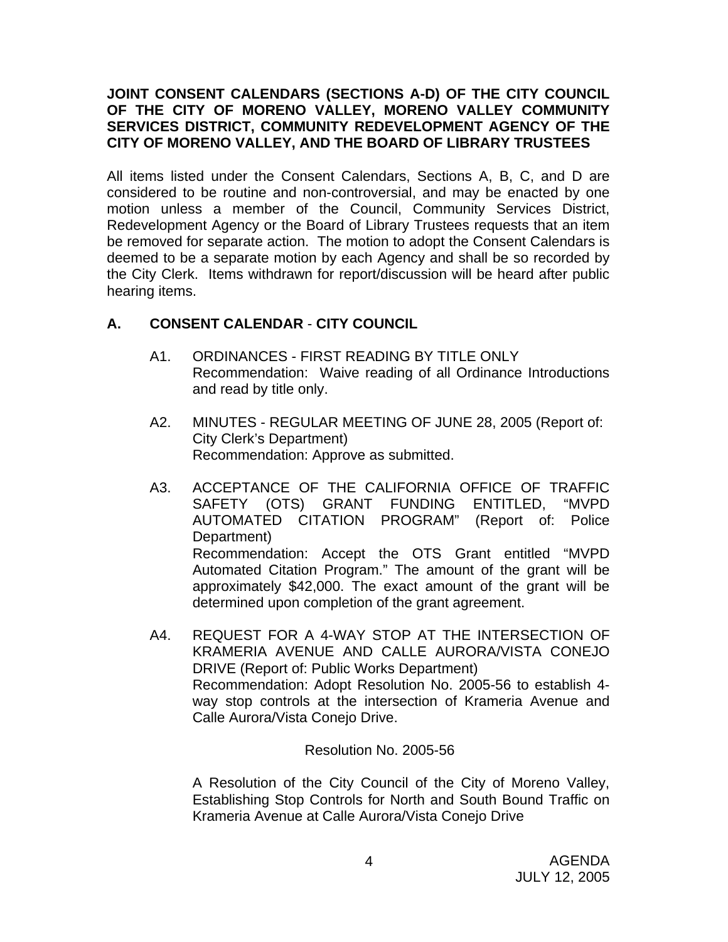# **JOINT CONSENT CALENDARS (SECTIONS A-D) OF THE CITY COUNCIL OF THE CITY OF MORENO VALLEY, MORENO VALLEY COMMUNITY SERVICES DISTRICT, COMMUNITY REDEVELOPMENT AGENCY OF THE CITY OF MORENO VALLEY, AND THE BOARD OF LIBRARY TRUSTEES**

All items listed under the Consent Calendars, Sections A, B, C, and D are considered to be routine and non-controversial, and may be enacted by one motion unless a member of the Council, Community Services District, Redevelopment Agency or the Board of Library Trustees requests that an item be removed for separate action. The motion to adopt the Consent Calendars is deemed to be a separate motion by each Agency and shall be so recorded by the City Clerk. Items withdrawn for report/discussion will be heard after public hearing items.

# **A. CONSENT CALENDAR** - **CITY COUNCIL**

- A1. ORDINANCES FIRST READING BY TITLE ONLY Recommendation: Waive reading of all Ordinance Introductions and read by title only.
- A2. MINUTES REGULAR MEETING OF JUNE 28, 2005 (Report of: City Clerk's Department) Recommendation: Approve as submitted.
- A3. ACCEPTANCE OF THE CALIFORNIA OFFICE OF TRAFFIC SAFETY (OTS) GRANT FUNDING ENTITLED, "MVPD AUTOMATED CITATION PROGRAM" (Report of: Police Department) Recommendation: Accept the OTS Grant entitled "MVPD Automated Citation Program." The amount of the grant will be approximately \$42,000. The exact amount of the grant will be determined upon completion of the grant agreement.
- A4. REQUEST FOR A 4-WAY STOP AT THE INTERSECTION OF KRAMERIA AVENUE AND CALLE AURORA/VISTA CONEJO DRIVE (Report of: Public Works Department) Recommendation: Adopt Resolution No. 2005-56 to establish 4 way stop controls at the intersection of Krameria Avenue and Calle Aurora/Vista Conejo Drive.

### Resolution No. 2005-56

 A Resolution of the City Council of the City of Moreno Valley, Establishing Stop Controls for North and South Bound Traffic on Krameria Avenue at Calle Aurora/Vista Conejo Drive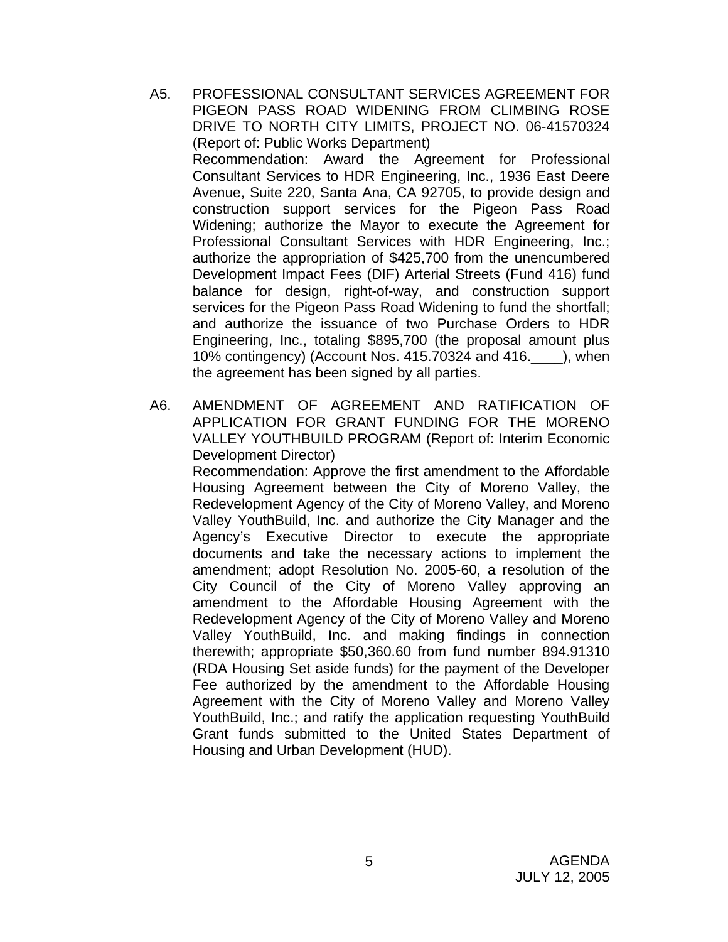- A5. PROFESSIONAL CONSULTANT SERVICES AGREEMENT FOR PIGEON PASS ROAD WIDENING FROM CLIMBING ROSE DRIVE TO NORTH CITY LIMITS, PROJECT NO. 06-41570324 (Report of: Public Works Department) Recommendation: Award the Agreement for Professional Consultant Services to HDR Engineering, Inc., 1936 East Deere Avenue, Suite 220, Santa Ana, CA 92705, to provide design and construction support services for the Pigeon Pass Road Widening; authorize the Mayor to execute the Agreement for Professional Consultant Services with HDR Engineering, Inc.; authorize the appropriation of \$425,700 from the unencumbered Development Impact Fees (DIF) Arterial Streets (Fund 416) fund balance for design, right-of-way, and construction support services for the Pigeon Pass Road Widening to fund the shortfall; and authorize the issuance of two Purchase Orders to HDR Engineering, Inc., totaling \$895,700 (the proposal amount plus 10% contingency) (Account Nos. 415.70324 and 416.\_\_\_\_), when the agreement has been signed by all parties.
- A6. AMENDMENT OF AGREEMENT AND RATIFICATION OF APPLICATION FOR GRANT FUNDING FOR THE MORENO VALLEY YOUTHBUILD PROGRAM (Report of: Interim Economic Development Director) Recommendation: Approve the first amendment to the Affordable Housing Agreement between the City of Moreno Valley, the Redevelopment Agency of the City of Moreno Valley, and Moreno Valley YouthBuild, Inc. and authorize the City Manager and the Agency's Executive Director to execute the appropriate documents and take the necessary actions to implement the amendment; adopt Resolution No. 2005-60, a resolution of the City Council of the City of Moreno Valley approving an amendment to the Affordable Housing Agreement with the Redevelopment Agency of the City of Moreno Valley and Moreno Valley YouthBuild, Inc. and making findings in connection therewith; appropriate \$50,360.60 from fund number 894.91310 (RDA Housing Set aside funds) for the payment of the Developer Fee authorized by the amendment to the Affordable Housing Agreement with the City of Moreno Valley and Moreno Valley YouthBuild, Inc.; and ratify the application requesting YouthBuild Grant funds submitted to the United States Department of Housing and Urban Development (HUD).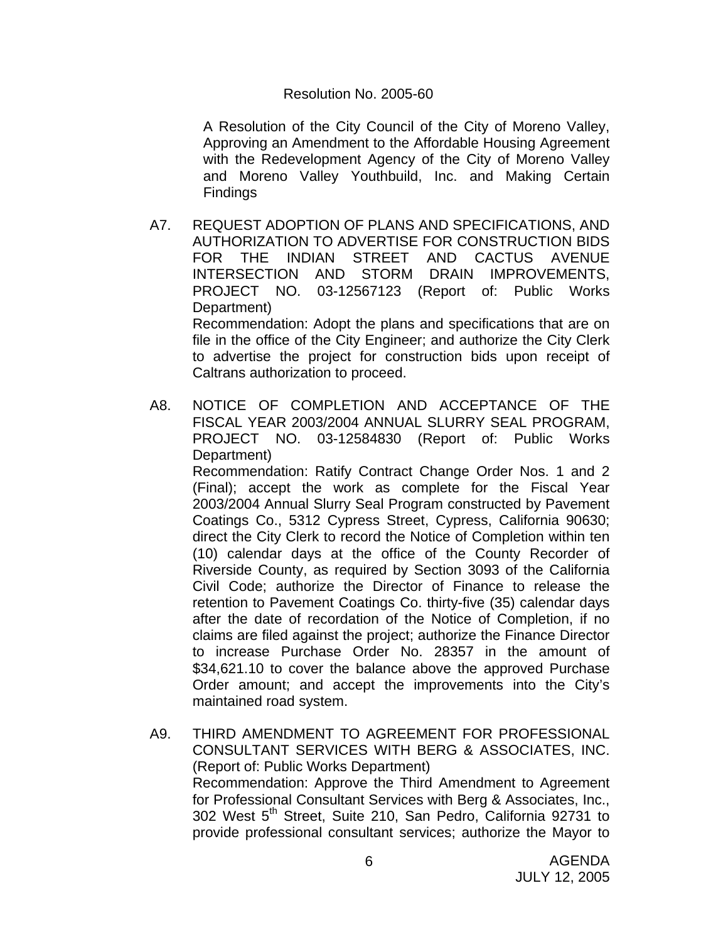#### Resolution No. 2005-60

A Resolution of the City Council of the City of Moreno Valley, Approving an Amendment to the Affordable Housing Agreement with the Redevelopment Agency of the City of Moreno Valley and Moreno Valley Youthbuild, Inc. and Making Certain Findings

A7. REQUEST ADOPTION OF PLANS AND SPECIFICATIONS, AND AUTHORIZATION TO ADVERTISE FOR CONSTRUCTION BIDS FOR THE INDIAN STREET AND CACTUS AVENUE INTERSECTION AND STORM DRAIN IMPROVEMENTS, PROJECT NO. 03-12567123 (Report of: Public Works Department) Recommendation: Adopt the plans and specifications that are on

file in the office of the City Engineer; and authorize the City Clerk to advertise the project for construction bids upon receipt of Caltrans authorization to proceed.

A8. NOTICE OF COMPLETION AND ACCEPTANCE OF THE FISCAL YEAR 2003/2004 ANNUAL SLURRY SEAL PROGRAM, PROJECT NO. 03-12584830 (Report of: Public Works Department)

 Recommendation: Ratify Contract Change Order Nos. 1 and 2 (Final); accept the work as complete for the Fiscal Year 2003/2004 Annual Slurry Seal Program constructed by Pavement Coatings Co., 5312 Cypress Street, Cypress, California 90630; direct the City Clerk to record the Notice of Completion within ten (10) calendar days at the office of the County Recorder of Riverside County, as required by Section 3093 of the California Civil Code; authorize the Director of Finance to release the retention to Pavement Coatings Co. thirty-five (35) calendar days after the date of recordation of the Notice of Completion, if no claims are filed against the project; authorize the Finance Director to increase Purchase Order No. 28357 in the amount of \$34,621.10 to cover the balance above the approved Purchase Order amount; and accept the improvements into the City's maintained road system.

A9. THIRD AMENDMENT TO AGREEMENT FOR PROFESSIONAL CONSULTANT SERVICES WITH BERG & ASSOCIATES, INC. (Report of: Public Works Department) Recommendation: Approve the Third Amendment to Agreement for Professional Consultant Services with Berg & Associates, Inc., 302 West 5<sup>th</sup> Street, Suite 210, San Pedro, California 92731 to provide professional consultant services; authorize the Mayor to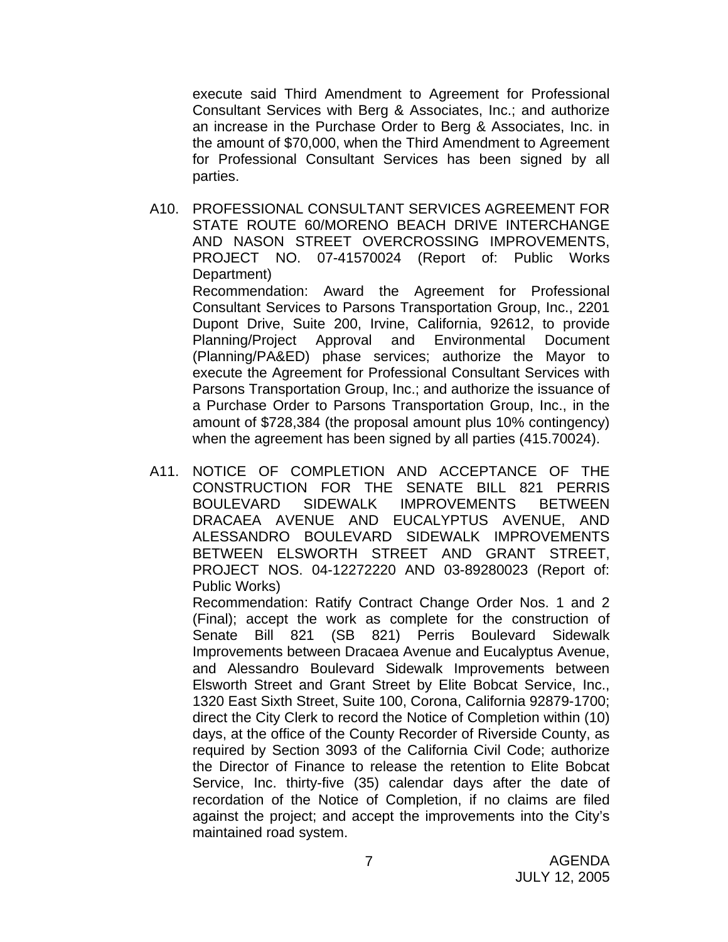execute said Third Amendment to Agreement for Professional Consultant Services with Berg & Associates, Inc.; and authorize an increase in the Purchase Order to Berg & Associates, Inc. in the amount of \$70,000, when the Third Amendment to Agreement for Professional Consultant Services has been signed by all parties.

A10. PROFESSIONAL CONSULTANT SERVICES AGREEMENT FOR STATE ROUTE 60/MORENO BEACH DRIVE INTERCHANGE AND NASON STREET OVERCROSSING IMPROVEMENTS, PROJECT NO. 07-41570024 (Report of: Public Works Department)

 Recommendation: Award the Agreement for Professional Consultant Services to Parsons Transportation Group, Inc., 2201 Dupont Drive, Suite 200, Irvine, California, 92612, to provide Planning/Project Approval and Environmental Document (Planning/PA&ED) phase services; authorize the Mayor to execute the Agreement for Professional Consultant Services with Parsons Transportation Group, Inc.; and authorize the issuance of a Purchase Order to Parsons Transportation Group, Inc., in the amount of \$728,384 (the proposal amount plus 10% contingency) when the agreement has been signed by all parties (415.70024).

A11. NOTICE OF COMPLETION AND ACCEPTANCE OF THE CONSTRUCTION FOR THE SENATE BILL 821 PERRIS BOULEVARD SIDEWALK IMPROVEMENTS BETWEEN DRACAEA AVENUE AND EUCALYPTUS AVENUE, AND ALESSANDRO BOULEVARD SIDEWALK IMPROVEMENTS BETWEEN ELSWORTH STREET AND GRANT STREET, PROJECT NOS. 04-12272220 AND 03-89280023 (Report of: Public Works)

 Recommendation: Ratify Contract Change Order Nos. 1 and 2 (Final); accept the work as complete for the construction of Senate Bill 821 (SB 821) Perris Boulevard Sidewalk Improvements between Dracaea Avenue and Eucalyptus Avenue, and Alessandro Boulevard Sidewalk Improvements between Elsworth Street and Grant Street by Elite Bobcat Service, Inc., 1320 East Sixth Street, Suite 100, Corona, California 92879-1700; direct the City Clerk to record the Notice of Completion within (10) days, at the office of the County Recorder of Riverside County, as required by Section 3093 of the California Civil Code; authorize the Director of Finance to release the retention to Elite Bobcat Service, Inc. thirty-five (35) calendar days after the date of recordation of the Notice of Completion, if no claims are filed against the project; and accept the improvements into the City's maintained road system.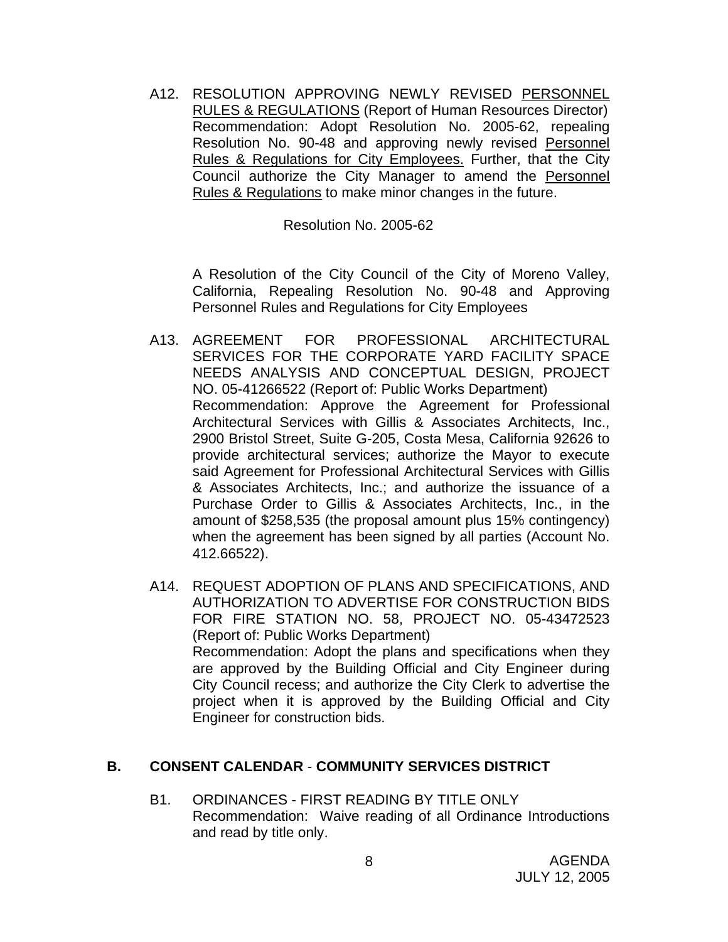A12. RESOLUTION APPROVING NEWLY REVISED PERSONNEL RULES & REGULATIONS (Report of Human Resources Director) Recommendation: Adopt Resolution No. 2005-62, repealing Resolution No. 90-48 and approving newly revised Personnel Rules & Regulations for City Employees. Further, that the City Council authorize the City Manager to amend the Personnel Rules & Regulations to make minor changes in the future.

Resolution No. 2005-62

A Resolution of the City Council of the City of Moreno Valley, California, Repealing Resolution No. 90-48 and Approving Personnel Rules and Regulations for City Employees

- A13. AGREEMENT FOR PROFESSIONAL ARCHITECTURAL SERVICES FOR THE CORPORATE YARD FACILITY SPACE NEEDS ANALYSIS AND CONCEPTUAL DESIGN, PROJECT NO. 05-41266522 (Report of: Public Works Department) Recommendation: Approve the Agreement for Professional Architectural Services with Gillis & Associates Architects, Inc., 2900 Bristol Street, Suite G-205, Costa Mesa, California 92626 to provide architectural services; authorize the Mayor to execute said Agreement for Professional Architectural Services with Gillis & Associates Architects, Inc.; and authorize the issuance of a Purchase Order to Gillis & Associates Architects, Inc., in the amount of \$258,535 (the proposal amount plus 15% contingency) when the agreement has been signed by all parties (Account No. 412.66522).
- A14. REQUEST ADOPTION OF PLANS AND SPECIFICATIONS, AND AUTHORIZATION TO ADVERTISE FOR CONSTRUCTION BIDS FOR FIRE STATION NO. 58, PROJECT NO. 05-43472523 (Report of: Public Works Department) Recommendation: Adopt the plans and specifications when they are approved by the Building Official and City Engineer during City Council recess; and authorize the City Clerk to advertise the project when it is approved by the Building Official and City Engineer for construction bids.

# **B. CONSENT CALENDAR** - **COMMUNITY SERVICES DISTRICT**

B1. ORDINANCES - FIRST READING BY TITLE ONLY Recommendation: Waive reading of all Ordinance Introductions and read by title only.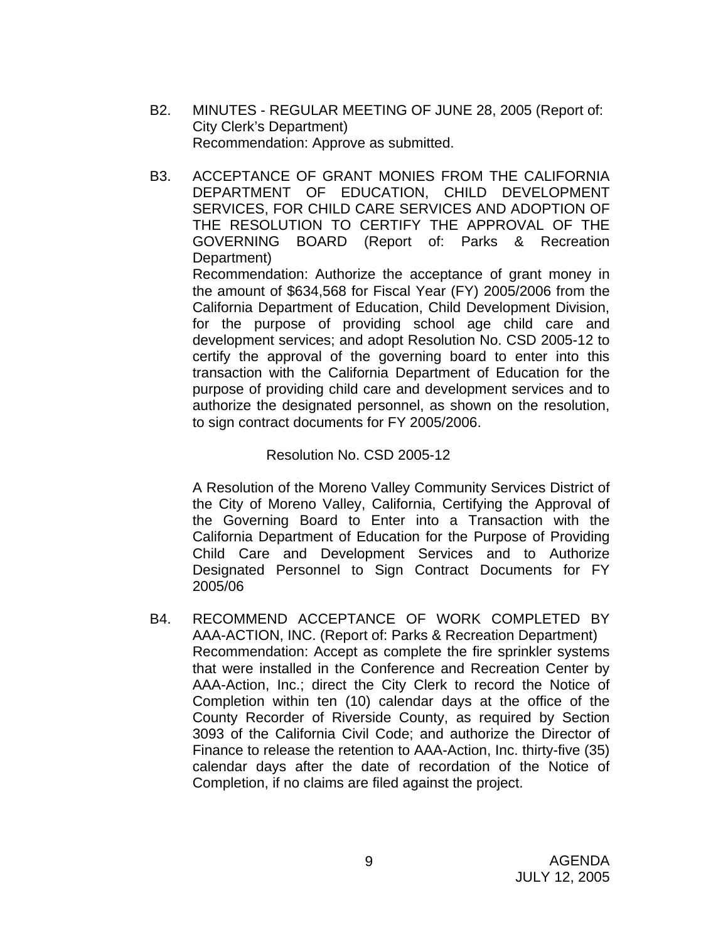- B2. MINUTES REGULAR MEETING OF JUNE 28, 2005 (Report of: City Clerk's Department) Recommendation: Approve as submitted.
- B3. ACCEPTANCE OF GRANT MONIES FROM THE CALIFORNIA DEPARTMENT OF EDUCATION, CHILD DEVELOPMENT SERVICES, FOR CHILD CARE SERVICES AND ADOPTION OF THE RESOLUTION TO CERTIFY THE APPROVAL OF THE GOVERNING BOARD (Report of: Parks & Recreation Department)

 Recommendation: Authorize the acceptance of grant money in the amount of \$634,568 for Fiscal Year (FY) 2005/2006 from the California Department of Education, Child Development Division, for the purpose of providing school age child care and development services; and adopt Resolution No. CSD 2005-12 to certify the approval of the governing board to enter into this transaction with the California Department of Education for the purpose of providing child care and development services and to authorize the designated personnel, as shown on the resolution, to sign contract documents for FY 2005/2006.

### Resolution No. CSD 2005-12

 A Resolution of the Moreno Valley Community Services District of the City of Moreno Valley, California, Certifying the Approval of the Governing Board to Enter into a Transaction with the California Department of Education for the Purpose of Providing Child Care and Development Services and to Authorize Designated Personnel to Sign Contract Documents for FY 2005/06

B4. RECOMMEND ACCEPTANCE OF WORK COMPLETED BY AAA-ACTION, INC. (Report of: Parks & Recreation Department) Recommendation: Accept as complete the fire sprinkler systems that were installed in the Conference and Recreation Center by AAA-Action, Inc.; direct the City Clerk to record the Notice of Completion within ten (10) calendar days at the office of the County Recorder of Riverside County, as required by Section 3093 of the California Civil Code; and authorize the Director of Finance to release the retention to AAA-Action, Inc. thirty-five (35) calendar days after the date of recordation of the Notice of Completion, if no claims are filed against the project.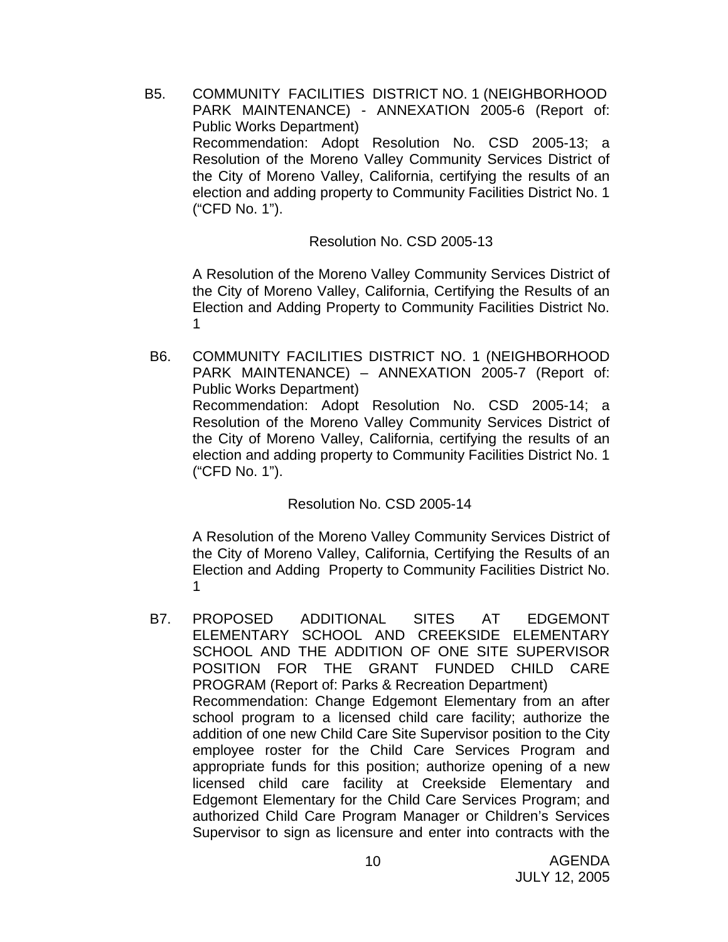B5. COMMUNITY FACILITIES DISTRICT NO. 1 (NEIGHBORHOOD PARK MAINTENANCE) - ANNEXATION 2005-6 (Report of: Public Works Department) Recommendation: Adopt Resolution No. CSD 2005-13; a Resolution of the Moreno Valley Community Services District of the City of Moreno Valley, California, certifying the results of an election and adding property to Community Facilities District No. 1 ("CFD No. 1").

Resolution No. CSD 2005-13

A Resolution of the Moreno Valley Community Services District of the City of Moreno Valley, California, Certifying the Results of an Election and Adding Property to Community Facilities District No. 1

B6. COMMUNITY FACILITIES DISTRICT NO. 1 (NEIGHBORHOOD PARK MAINTENANCE) – ANNEXATION 2005-7 (Report of: Public Works Department) Recommendation: Adopt Resolution No. CSD 2005-14; a Resolution of the Moreno Valley Community Services District of the City of Moreno Valley, California, certifying the results of an election and adding property to Community Facilities District No. 1 ("CFD No. 1").

Resolution No. CSD 2005-14

A Resolution of the Moreno Valley Community Services District of the City of Moreno Valley, California, Certifying the Results of an Election and Adding Property to Community Facilities District No. 1

B7. PROPOSED ADDITIONAL SITES AT EDGEMONT ELEMENTARY SCHOOL AND CREEKSIDE ELEMENTARY SCHOOL AND THE ADDITION OF ONE SITE SUPERVISOR POSITION FOR THE GRANT FUNDED CHILD CARE PROGRAM (Report of: Parks & Recreation Department) Recommendation: Change Edgemont Elementary from an after school program to a licensed child care facility; authorize the addition of one new Child Care Site Supervisor position to the City employee roster for the Child Care Services Program and appropriate funds for this position; authorize opening of a new licensed child care facility at Creekside Elementary and Edgemont Elementary for the Child Care Services Program; and authorized Child Care Program Manager or Children's Services Supervisor to sign as licensure and enter into contracts with the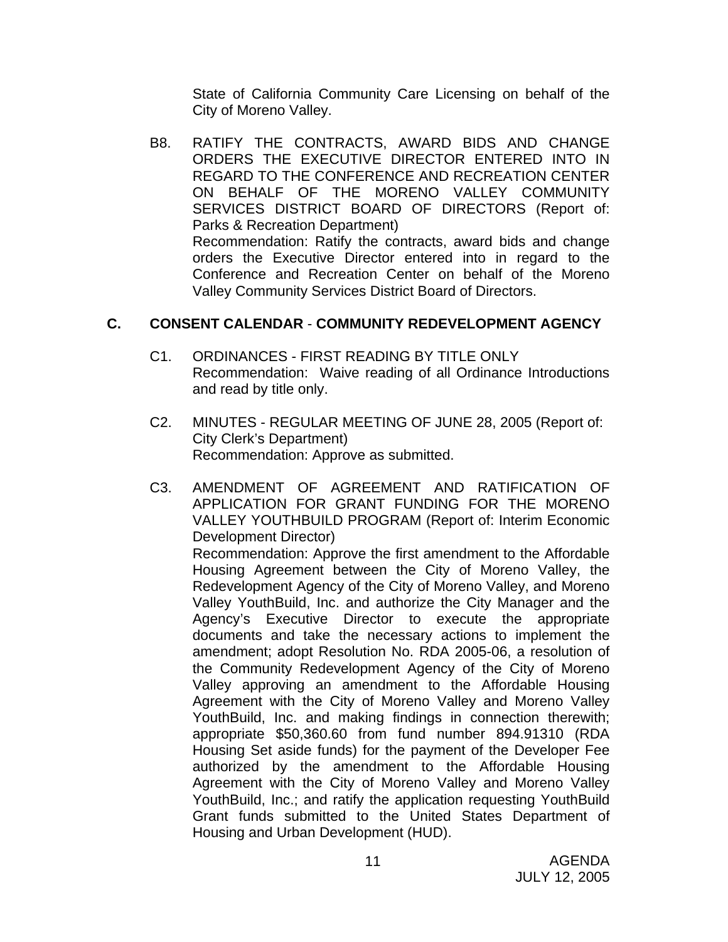State of California Community Care Licensing on behalf of the City of Moreno Valley.

B8. RATIFY THE CONTRACTS, AWARD BIDS AND CHANGE ORDERS THE EXECUTIVE DIRECTOR ENTERED INTO IN REGARD TO THE CONFERENCE AND RECREATION CENTER ON BEHALF OF THE MORENO VALLEY COMMUNITY SERVICES DISTRICT BOARD OF DIRECTORS (Report of: Parks & Recreation Department) Recommendation: Ratify the contracts, award bids and change orders the Executive Director entered into in regard to the Conference and Recreation Center on behalf of the Moreno Valley Community Services District Board of Directors.

# **C. CONSENT CALENDAR** - **COMMUNITY REDEVELOPMENT AGENCY**

- C1. ORDINANCES FIRST READING BY TITLE ONLY Recommendation: Waive reading of all Ordinance Introductions and read by title only.
- C2. MINUTES REGULAR MEETING OF JUNE 28, 2005 (Report of: City Clerk's Department) Recommendation: Approve as submitted.
- C3. AMENDMENT OF AGREEMENT AND RATIFICATION OF APPLICATION FOR GRANT FUNDING FOR THE MORENO VALLEY YOUTHBUILD PROGRAM (Report of: Interim Economic Development Director) Recommendation: Approve the first amendment to the Affordable Housing Agreement between the City of Moreno Valley, the Redevelopment Agency of the City of Moreno Valley, and Moreno Valley YouthBuild, Inc. and authorize the City Manager and the Agency's Executive Director to execute the appropriate documents and take the necessary actions to implement the amendment; adopt Resolution No. RDA 2005-06, a resolution of the Community Redevelopment Agency of the City of Moreno Valley approving an amendment to the Affordable Housing Agreement with the City of Moreno Valley and Moreno Valley YouthBuild, Inc. and making findings in connection therewith; appropriate \$50,360.60 from fund number 894.91310 (RDA Housing Set aside funds) for the payment of the Developer Fee authorized by the amendment to the Affordable Housing Agreement with the City of Moreno Valley and Moreno Valley YouthBuild, Inc.; and ratify the application requesting YouthBuild Grant funds submitted to the United States Department of Housing and Urban Development (HUD).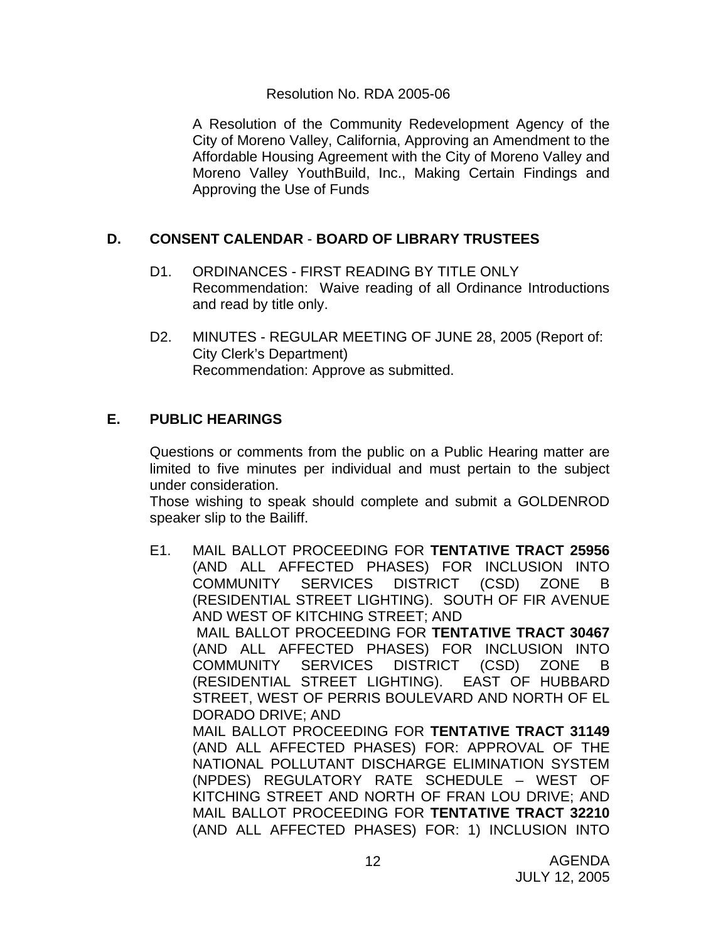### Resolution No. RDA 2005-06

 A Resolution of the Community Redevelopment Agency of the City of Moreno Valley, California, Approving an Amendment to the Affordable Housing Agreement with the City of Moreno Valley and Moreno Valley YouthBuild, Inc., Making Certain Findings and Approving the Use of Funds

# **D. CONSENT CALENDAR** - **BOARD OF LIBRARY TRUSTEES**

- D1. ORDINANCES FIRST READING BY TITLE ONLY Recommendation: Waive reading of all Ordinance Introductions and read by title only.
- D2. MINUTES REGULAR MEETING OF JUNE 28, 2005 (Report of: City Clerk's Department) Recommendation: Approve as submitted.

# **E. PUBLIC HEARINGS**

Questions or comments from the public on a Public Hearing matter are limited to five minutes per individual and must pertain to the subject under consideration.

 Those wishing to speak should complete and submit a GOLDENROD speaker slip to the Bailiff.

E1. MAIL BALLOT PROCEEDING FOR **TENTATIVE TRACT 25956**  (AND ALL AFFECTED PHASES) FOR INCLUSION INTO COMMUNITY SERVICES DISTRICT (CSD) ZONE B (RESIDENTIAL STREET LIGHTING). SOUTH OF FIR AVENUE AND WEST OF KITCHING STREET; AND MAIL BALLOT PROCEEDING FOR **TENTATIVE TRACT 30467**  (AND ALL AFFECTED PHASES) FOR INCLUSION INTO COMMUNITY SERVICES DISTRICT (CSD) ZONE B (RESIDENTIAL STREET LIGHTING). EAST OF HUBBARD STREET, WEST OF PERRIS BOULEVARD AND NORTH OF EL DORADO DRIVE; AND MAIL BALLOT PROCEEDING FOR **TENTATIVE TRACT 31149**  (AND ALL AFFECTED PHASES) FOR: APPROVAL OF THE NATIONAL POLLUTANT DISCHARGE ELIMINATION SYSTEM (NPDES) REGULATORY RATE SCHEDULE – WEST OF KITCHING STREET AND NORTH OF FRAN LOU DRIVE; AND MAIL BALLOT PROCEEDING FOR **TENTATIVE TRACT 32210**  (AND ALL AFFECTED PHASES) FOR: 1) INCLUSION INTO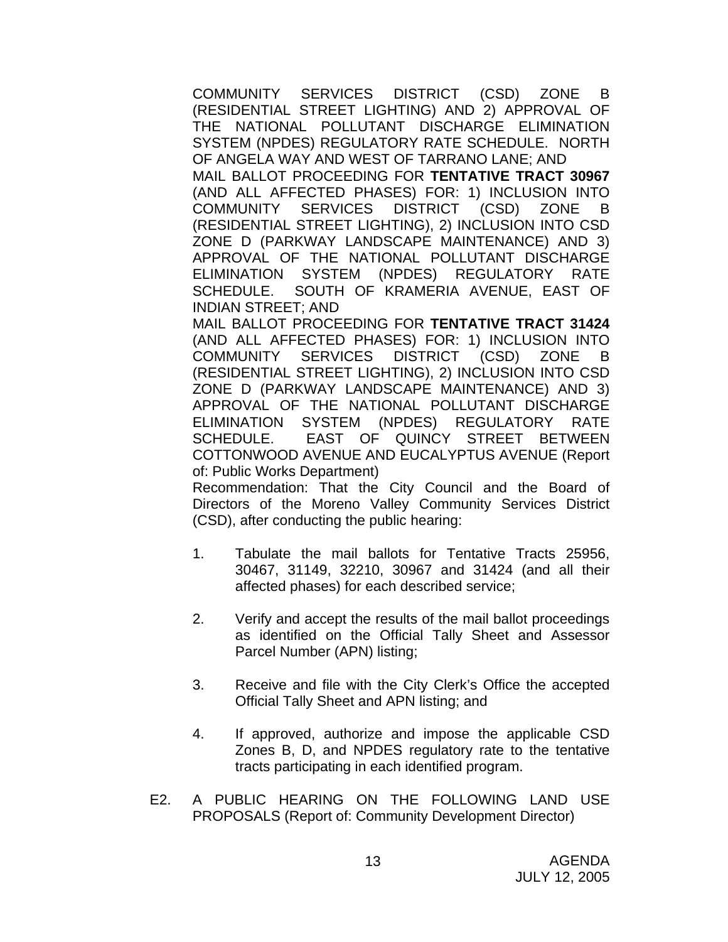COMMUNITY SERVICES DISTRICT (CSD) ZONE B (RESIDENTIAL STREET LIGHTING) AND 2) APPROVAL OF THE NATIONAL POLLUTANT DISCHARGE ELIMINATION SYSTEM (NPDES) REGULATORY RATE SCHEDULE. NORTH OF ANGELA WAY AND WEST OF TARRANO LANE; AND

MAIL BALLOT PROCEEDING FOR **TENTATIVE TRACT 30967**  (AND ALL AFFECTED PHASES) FOR: 1) INCLUSION INTO COMMUNITY SERVICES DISTRICT (CSD) ZONE B (RESIDENTIAL STREET LIGHTING), 2) INCLUSION INTO CSD ZONE D (PARKWAY LANDSCAPE MAINTENANCE) AND 3) APPROVAL OF THE NATIONAL POLLUTANT DISCHARGE ELIMINATION SYSTEM (NPDES) REGULATORY RATE SCHEDULE. SOUTH OF KRAMERIA AVENUE, EAST OF INDIAN STREET; AND

MAIL BALLOT PROCEEDING FOR **TENTATIVE TRACT 31424**  (AND ALL AFFECTED PHASES) FOR: 1) INCLUSION INTO COMMUNITY SERVICES DISTRICT (CSD) ZONE B (RESIDENTIAL STREET LIGHTING), 2) INCLUSION INTO CSD ZONE D (PARKWAY LANDSCAPE MAINTENANCE) AND 3) APPROVAL OF THE NATIONAL POLLUTANT DISCHARGE ELIMINATION SYSTEM (NPDES) REGULATORY RATE SCHEDULE. EAST OF QUINCY STREET BETWEEN COTTONWOOD AVENUE AND EUCALYPTUS AVENUE (Report of: Public Works Department)

 Recommendation: That the City Council and the Board of Directors of the Moreno Valley Community Services District (CSD), after conducting the public hearing:

- 1. Tabulate the mail ballots for Tentative Tracts 25956, 30467, 31149, 32210, 30967 and 31424 (and all their affected phases) for each described service;
- 2. Verify and accept the results of the mail ballot proceedings as identified on the Official Tally Sheet and Assessor Parcel Number (APN) listing;
- 3. Receive and file with the City Clerk's Office the accepted Official Tally Sheet and APN listing; and
- 4. If approved, authorize and impose the applicable CSD Zones B, D, and NPDES regulatory rate to the tentative tracts participating in each identified program.
- E2. A PUBLIC HEARING ON THE FOLLOWING LAND USE PROPOSALS (Report of: Community Development Director)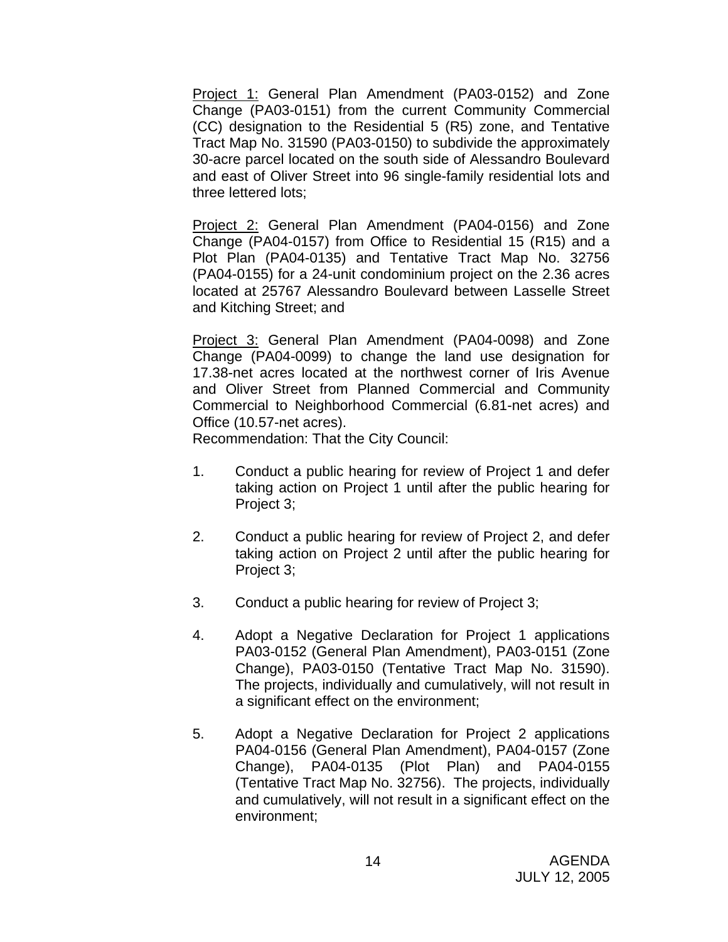Project 1: General Plan Amendment (PA03-0152) and Zone Change (PA03-0151) from the current Community Commercial (CC) designation to the Residential 5 (R5) zone, and Tentative Tract Map No. 31590 (PA03-0150) to subdivide the approximately 30-acre parcel located on the south side of Alessandro Boulevard and east of Oliver Street into 96 single-family residential lots and three lettered lots;

Project 2: General Plan Amendment (PA04-0156) and Zone Change (PA04-0157) from Office to Residential 15 (R15) and a Plot Plan (PA04-0135) and Tentative Tract Map No. 32756 (PA04-0155) for a 24-unit condominium project on the 2.36 acres located at 25767 Alessandro Boulevard between Lasselle Street and Kitching Street; and

Project 3: General Plan Amendment (PA04-0098) and Zone Change (PA04-0099) to change the land use designation for 17.38-net acres located at the northwest corner of Iris Avenue and Oliver Street from Planned Commercial and Community Commercial to Neighborhood Commercial (6.81-net acres) and Office (10.57-net acres).

Recommendation: That the City Council:

- 1. Conduct a public hearing for review of Project 1 and defer taking action on Project 1 until after the public hearing for Project 3;
- 2. Conduct a public hearing for review of Project 2, and defer taking action on Project 2 until after the public hearing for Project 3;
- 3. Conduct a public hearing for review of Project 3;
- 4. Adopt a Negative Declaration for Project 1 applications PA03-0152 (General Plan Amendment), PA03-0151 (Zone Change), PA03-0150 (Tentative Tract Map No. 31590). The projects, individually and cumulatively, will not result in a significant effect on the environment;
- 5. Adopt a Negative Declaration for Project 2 applications PA04-0156 (General Plan Amendment), PA04-0157 (Zone Change), PA04-0135 (Plot Plan) and PA04-0155 (Tentative Tract Map No. 32756). The projects, individually and cumulatively, will not result in a significant effect on the environment;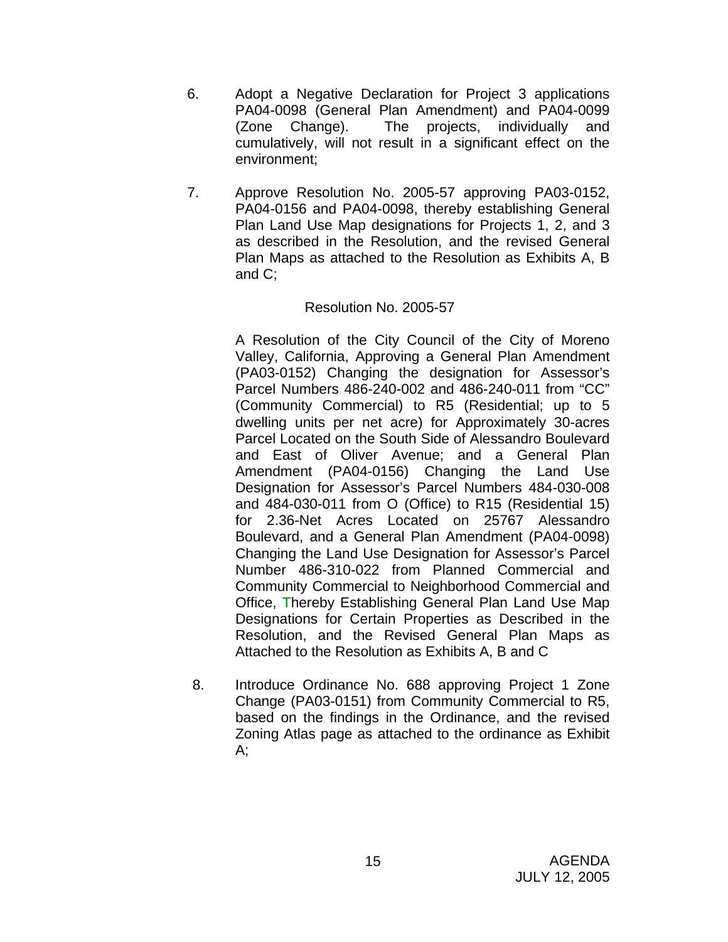- 6. Adopt a Negative Declaration for Project 3 applications PA04-0098 (General Plan Amendment) and PA04-0099 (Zone Change). The projects, individually and cumulatively, will not result in a significant effect on the environment;
- 7. Approve Resolution No. 2005-57 approving PA03-0152, PA04-0156 and PA04-0098, thereby establishing General Plan Land Use Map designations for Projects 1, 2, and 3 as described in the Resolution, and the revised General Plan Maps as attached to the Resolution as Exhibits A, B and C;

# Resolution No. 2005-57

A Resolution of the City Council of the City of Moreno Valley, California, Approving a General Plan Amendment (PA03-0152) Changing the designation for Assessor's Parcel Numbers 486-240-002 and 486-240-011 from "CC" (Community Commercial) to R5 (Residential; up to 5 dwelling units per net acre) for Approximately 30-acres Parcel Located on the South Side of Alessandro Boulevard and East of Oliver Avenue; and a General Plan Amendment (PA04-0156) Changing the Land Use Designation for Assessor's Parcel Numbers 484-030-008 and 484-030-011 from O (Office) to R15 (Residential 15) for 2.36-Net Acres Located on 25767 Alessandro Boulevard, and a General Plan Amendment (PA04-0098) Changing the Land Use Designation for Assessor's Parcel Number 486-310-022 from Planned Commercial and Community Commercial to Neighborhood Commercial and Office, Thereby Establishing General Plan Land Use Map Designations for Certain Properties as Described in the Resolution, and the Revised General Plan Maps as Attached to the Resolution as Exhibits A, B and C

8. Introduce Ordinance No. 688 approving Project 1 Zone Change (PA03-0151) from Community Commercial to R5, based on the findings in the Ordinance, and the revised Zoning Atlas page as attached to the ordinance as Exhibit A;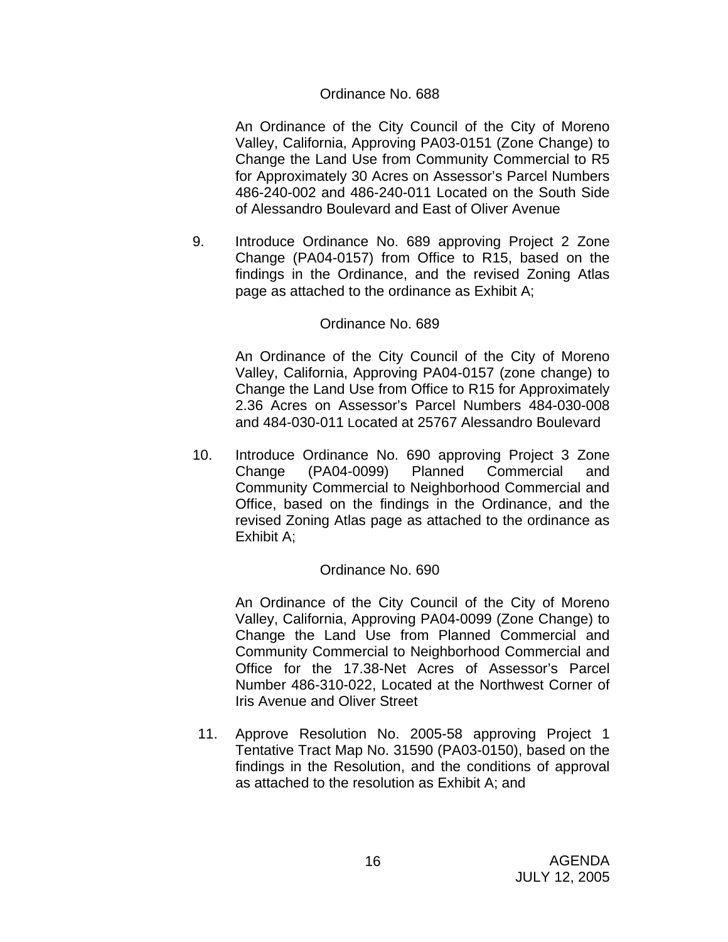### Ordinance No. 688

An Ordinance of the City Council of the City of Moreno Valley, California, Approving PA03-0151 (Zone Change) to Change the Land Use from Community Commercial to R5 for Approximately 30 Acres on Assessor's Parcel Numbers 486-240-002 and 486-240-011 Located on the South Side of Alessandro Boulevard and East of Oliver Avenue

9. Introduce Ordinance No. 689 approving Project 2 Zone Change (PA04-0157) from Office to R15, based on the findings in the Ordinance, and the revised Zoning Atlas page as attached to the ordinance as Exhibit A;

#### Ordinance No. 689

An Ordinance of the City Council of the City of Moreno Valley, California, Approving PA04-0157 (zone change) to Change the Land Use from Office to R15 for Approximately 2.36 Acres on Assessor's Parcel Numbers 484-030-008 and 484-030-011 Located at 25767 Alessandro Boulevard

10. Introduce Ordinance No. 690 approving Project 3 Zone Change (PA04-0099) Planned Commercial and Community Commercial to Neighborhood Commercial and Office, based on the findings in the Ordinance, and the revised Zoning Atlas page as attached to the ordinance as Exhibit A;

### Ordinance No. 690

An Ordinance of the City Council of the City of Moreno Valley, California, Approving PA04-0099 (Zone Change) to Change the Land Use from Planned Commercial and Community Commercial to Neighborhood Commercial and Office for the 17.38-Net Acres of Assessor's Parcel Number 486-310-022, Located at the Northwest Corner of Iris Avenue and Oliver Street

11. Approve Resolution No. 2005-58 approving Project 1 Tentative Tract Map No. 31590 (PA03-0150), based on the findings in the Resolution, and the conditions of approval as attached to the resolution as Exhibit A; and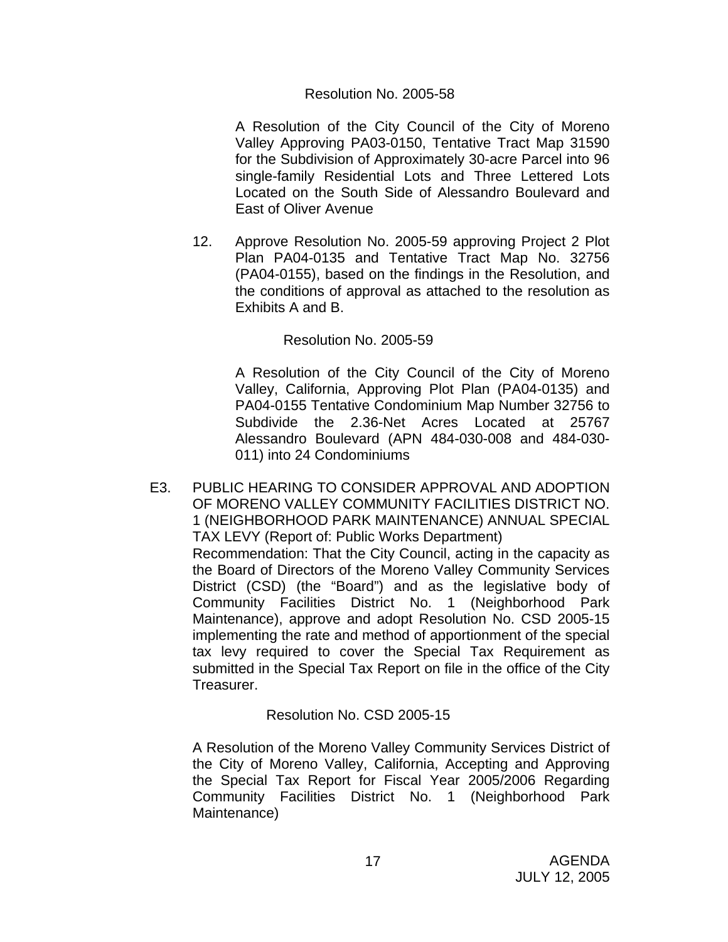#### Resolution No. 2005-58

A Resolution of the City Council of the City of Moreno Valley Approving PA03-0150, Tentative Tract Map 31590 for the Subdivision of Approximately 30-acre Parcel into 96 single-family Residential Lots and Three Lettered Lots Located on the South Side of Alessandro Boulevard and East of Oliver Avenue

12. Approve Resolution No. 2005-59 approving Project 2 Plot Plan PA04-0135 and Tentative Tract Map No. 32756 (PA04-0155), based on the findings in the Resolution, and the conditions of approval as attached to the resolution as Exhibits A and B.

### Resolution No. 2005-59

 A Resolution of the City Council of the City of Moreno Valley, California, Approving Plot Plan (PA04-0135) and PA04-0155 Tentative Condominium Map Number 32756 to Subdivide the 2.36-Net Acres Located at 25767 Alessandro Boulevard (APN 484-030-008 and 484-030- 011) into 24 Condominiums

E3. PUBLIC HEARING TO CONSIDER APPROVAL AND ADOPTION OF MORENO VALLEY COMMUNITY FACILITIES DISTRICT NO. 1 (NEIGHBORHOOD PARK MAINTENANCE) ANNUAL SPECIAL TAX LEVY (Report of: Public Works Department) Recommendation: That the City Council, acting in the capacity as the Board of Directors of the Moreno Valley Community Services District (CSD) (the "Board") and as the legislative body of Community Facilities District No. 1 (Neighborhood Park Maintenance), approve and adopt Resolution No. CSD 2005-15 implementing the rate and method of apportionment of the special tax levy required to cover the Special Tax Requirement as submitted in the Special Tax Report on file in the office of the City Treasurer.

### Resolution No. CSD 2005-15

A Resolution of the Moreno Valley Community Services District of the City of Moreno Valley, California, Accepting and Approving the Special Tax Report for Fiscal Year 2005/2006 Regarding Community Facilities District No. 1 (Neighborhood Park Maintenance)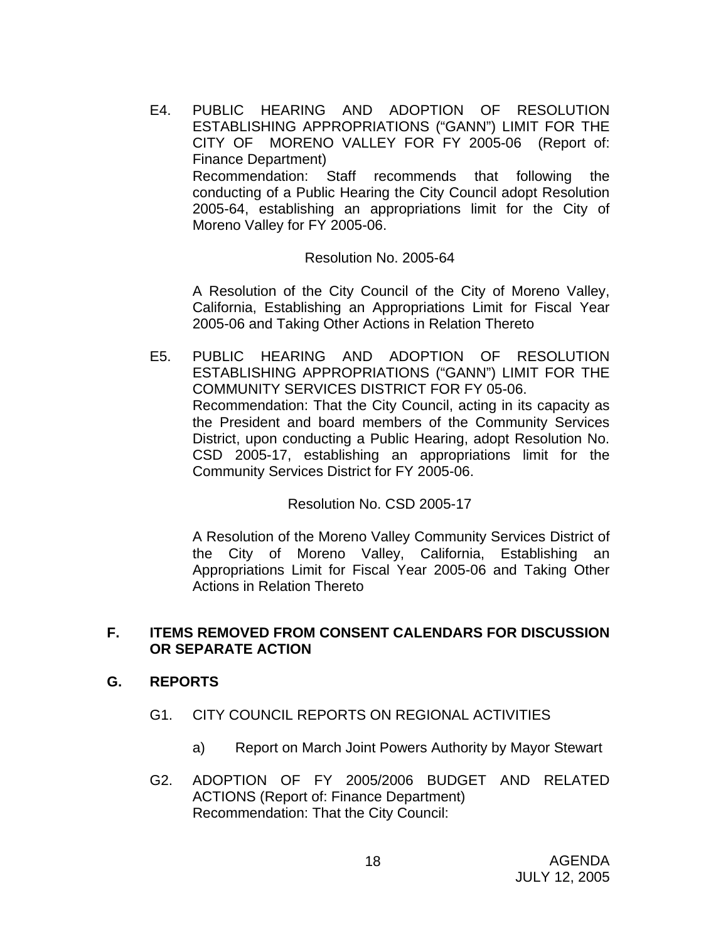E4. PUBLIC HEARING AND ADOPTION OF RESOLUTION ESTABLISHING APPROPRIATIONS ("GANN") LIMIT FOR THE CITY OF MORENO VALLEY FOR FY 2005-06 (Report of: Finance Department) Recommendation: Staff recommends that following the conducting of a Public Hearing the City Council adopt Resolution 2005-64, establishing an appropriations limit for the City of Moreno Valley for FY 2005-06.

#### Resolution No. 2005-64

A Resolution of the City Council of the City of Moreno Valley, California, Establishing an Appropriations Limit for Fiscal Year 2005-06 and Taking Other Actions in Relation Thereto

E5. PUBLIC HEARING AND ADOPTION OF RESOLUTION ESTABLISHING APPROPRIATIONS ("GANN") LIMIT FOR THE COMMUNITY SERVICES DISTRICT FOR FY 05-06. Recommendation: That the City Council, acting in its capacity as the President and board members of the Community Services District, upon conducting a Public Hearing, adopt Resolution No. CSD 2005-17, establishing an appropriations limit for the Community Services District for FY 2005-06.

Resolution No. CSD 2005-17

A Resolution of the Moreno Valley Community Services District of the City of Moreno Valley, California, Establishing an Appropriations Limit for Fiscal Year 2005-06 and Taking Other Actions in Relation Thereto

### **F. ITEMS REMOVED FROM CONSENT CALENDARS FOR DISCUSSION OR SEPARATE ACTION**

### **G. REPORTS**

- G1. CITY COUNCIL REPORTS ON REGIONAL ACTIVITIES
	- a) Report on March Joint Powers Authority by Mayor Stewart
- G2. ADOPTION OF FY 2005/2006 BUDGET AND RELATED ACTIONS (Report of: Finance Department) Recommendation: That the City Council: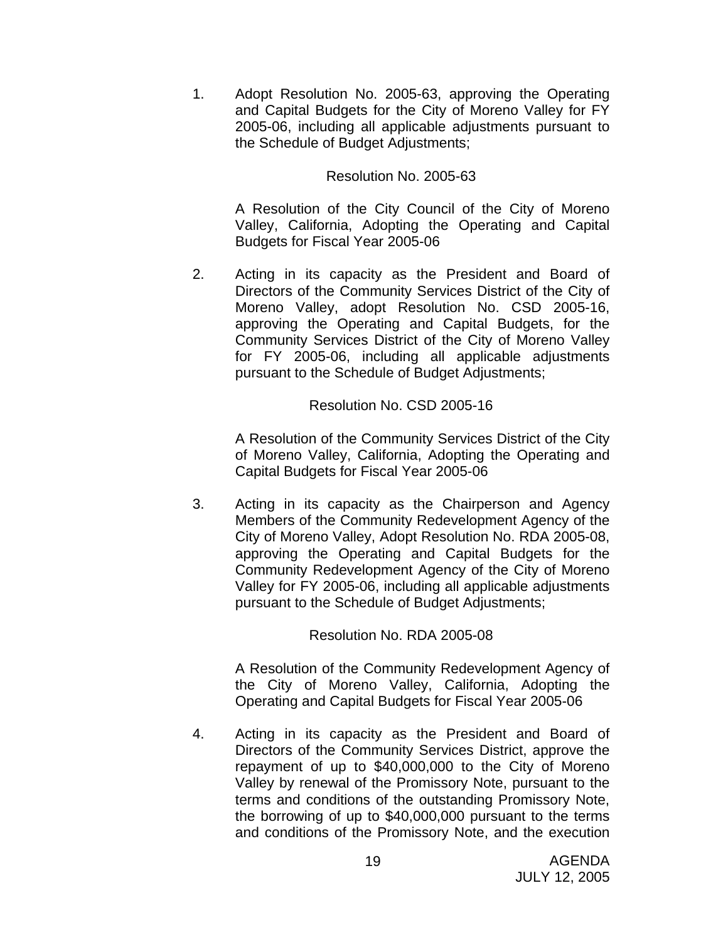1. Adopt Resolution No. 2005-63, approving the Operating and Capital Budgets for the City of Moreno Valley for FY 2005-06, including all applicable adjustments pursuant to the Schedule of Budget Adjustments;

#### Resolution No. 2005-63

A Resolution of the City Council of the City of Moreno Valley, California, Adopting the Operating and Capital Budgets for Fiscal Year 2005-06

2. Acting in its capacity as the President and Board of Directors of the Community Services District of the City of Moreno Valley, adopt Resolution No. CSD 2005-16, approving the Operating and Capital Budgets, for the Community Services District of the City of Moreno Valley for FY 2005-06, including all applicable adjustments pursuant to the Schedule of Budget Adjustments;

#### Resolution No. CSD 2005-16

A Resolution of the Community Services District of the City of Moreno Valley, California, Adopting the Operating and Capital Budgets for Fiscal Year 2005-06

3. Acting in its capacity as the Chairperson and Agency Members of the Community Redevelopment Agency of the City of Moreno Valley, Adopt Resolution No. RDA 2005-08, approving the Operating and Capital Budgets for the Community Redevelopment Agency of the City of Moreno Valley for FY 2005-06, including all applicable adjustments pursuant to the Schedule of Budget Adjustments;

### Resolution No. RDA 2005-08

A Resolution of the Community Redevelopment Agency of the City of Moreno Valley, California, Adopting the Operating and Capital Budgets for Fiscal Year 2005-06

4. Acting in its capacity as the President and Board of Directors of the Community Services District, approve the repayment of up to \$40,000,000 to the City of Moreno Valley by renewal of the Promissory Note, pursuant to the terms and conditions of the outstanding Promissory Note, the borrowing of up to \$40,000,000 pursuant to the terms and conditions of the Promissory Note, and the execution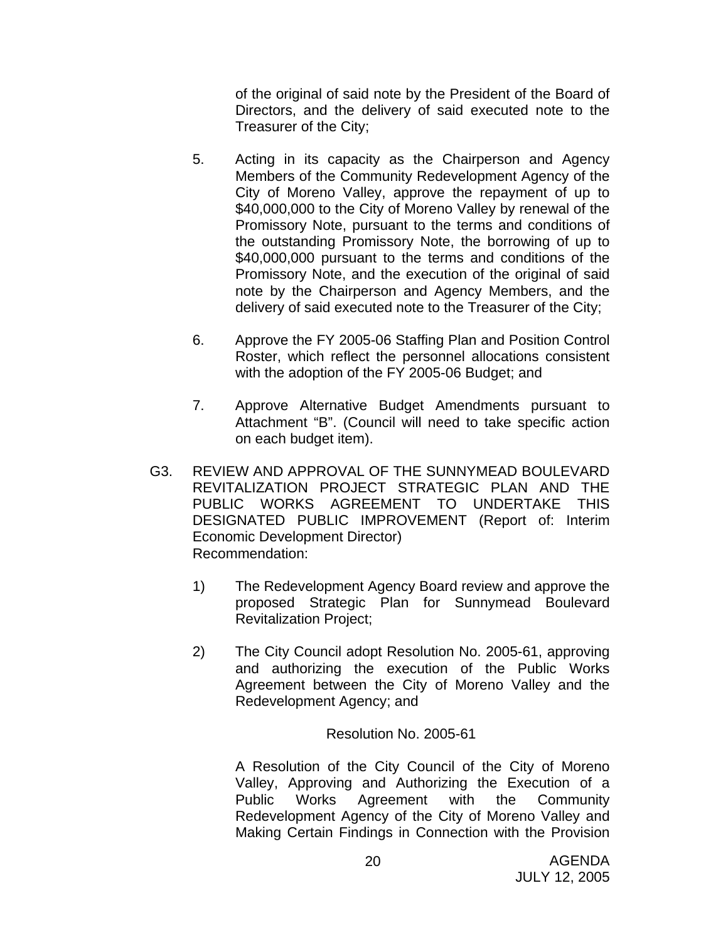of the original of said note by the President of the Board of Directors, and the delivery of said executed note to the Treasurer of the City;

- 5. Acting in its capacity as the Chairperson and Agency Members of the Community Redevelopment Agency of the City of Moreno Valley, approve the repayment of up to \$40,000,000 to the City of Moreno Valley by renewal of the Promissory Note, pursuant to the terms and conditions of the outstanding Promissory Note, the borrowing of up to \$40,000,000 pursuant to the terms and conditions of the Promissory Note, and the execution of the original of said note by the Chairperson and Agency Members, and the delivery of said executed note to the Treasurer of the City;
- 6. Approve the FY 2005-06 Staffing Plan and Position Control Roster, which reflect the personnel allocations consistent with the adoption of the FY 2005-06 Budget; and
- 7. Approve Alternative Budget Amendments pursuant to Attachment "B". (Council will need to take specific action on each budget item).
- G3. REVIEW AND APPROVAL OF THE SUNNYMEAD BOULEVARD REVITALIZATION PROJECT STRATEGIC PLAN AND THE PUBLIC WORKS AGREEMENT TO UNDERTAKE THIS DESIGNATED PUBLIC IMPROVEMENT (Report of: Interim Economic Development Director) Recommendation:
	- 1) The Redevelopment Agency Board review and approve the proposed Strategic Plan for Sunnymead Boulevard Revitalization Project;
	- 2) The City Council adopt Resolution No. 2005-61, approving and authorizing the execution of the Public Works Agreement between the City of Moreno Valley and the Redevelopment Agency; and

Resolution No. 2005-61

A Resolution of the City Council of the City of Moreno Valley, Approving and Authorizing the Execution of a Public Works Agreement with the Community Redevelopment Agency of the City of Moreno Valley and Making Certain Findings in Connection with the Provision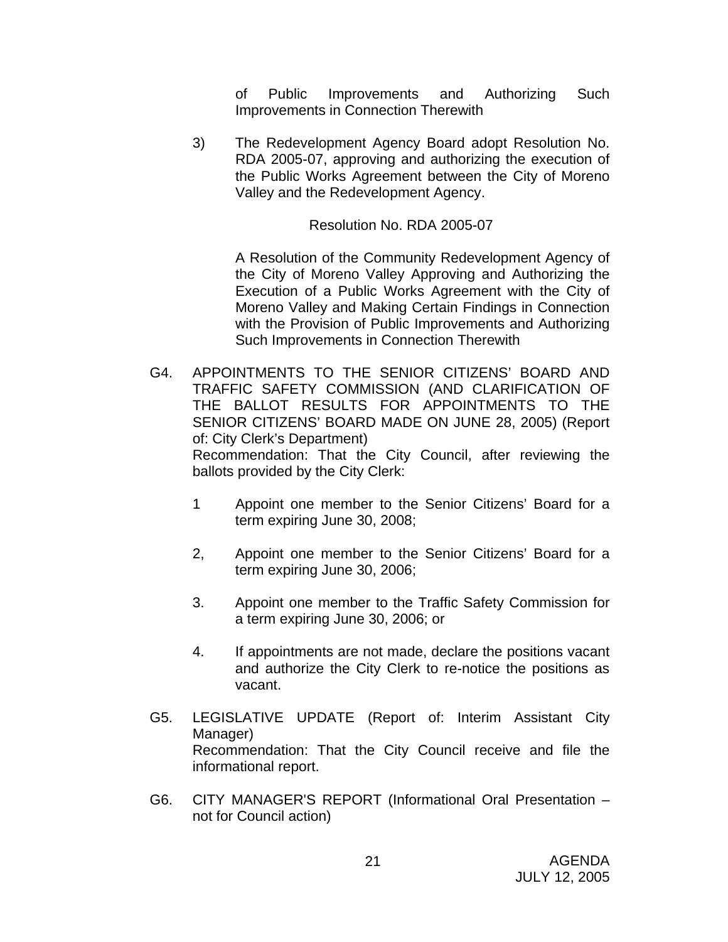of Public Improvements and Authorizing Such Improvements in Connection Therewith

3) The Redevelopment Agency Board adopt Resolution No. RDA 2005-07, approving and authorizing the execution of the Public Works Agreement between the City of Moreno Valley and the Redevelopment Agency.

Resolution No. RDA 2005-07

A Resolution of the Community Redevelopment Agency of the City of Moreno Valley Approving and Authorizing the Execution of a Public Works Agreement with the City of Moreno Valley and Making Certain Findings in Connection with the Provision of Public Improvements and Authorizing Such Improvements in Connection Therewith

G4. APPOINTMENTS TO THE SENIOR CITIZENS' BOARD AND TRAFFIC SAFETY COMMISSION (AND CLARIFICATION OF THE BALLOT RESULTS FOR APPOINTMENTS TO THE SENIOR CITIZENS' BOARD MADE ON JUNE 28, 2005) (Report of: City Clerk's Department) Recommendation: That the City Council, after reviewing the ballots provided by the City Clerk:

- 1 Appoint one member to the Senior Citizens' Board for a term expiring June 30, 2008;
- 2, Appoint one member to the Senior Citizens' Board for a term expiring June 30, 2006;
- 3. Appoint one member to the Traffic Safety Commission for a term expiring June 30, 2006; or
- 4. If appointments are not made, declare the positions vacant and authorize the City Clerk to re-notice the positions as vacant.
- G5. LEGISLATIVE UPDATE (Report of: Interim Assistant City Manager) Recommendation: That the City Council receive and file the informational report.
- G6. CITY MANAGER'S REPORT (Informational Oral Presentation not for Council action)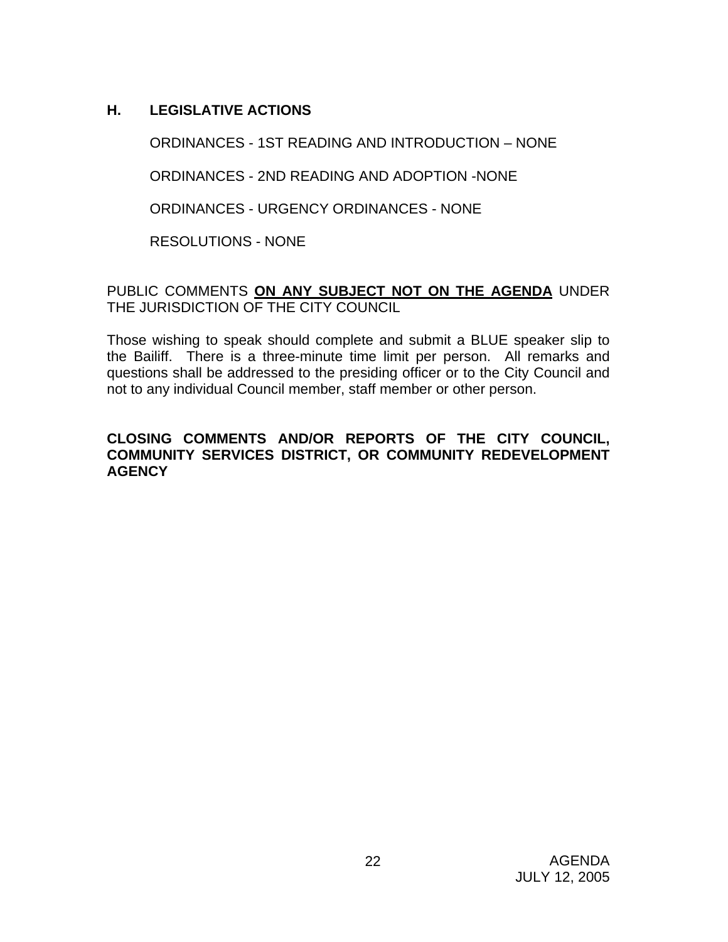# **H. LEGISLATIVE ACTIONS**

ORDINANCES - 1ST READING AND INTRODUCTION – NONE

ORDINANCES - 2ND READING AND ADOPTION -NONE

ORDINANCES - URGENCY ORDINANCES - NONE

RESOLUTIONS - NONE

PUBLIC COMMENTS **ON ANY SUBJECT NOT ON THE AGENDA** UNDER THE JURISDICTION OF THE CITY COUNCIL

Those wishing to speak should complete and submit a BLUE speaker slip to the Bailiff. There is a three-minute time limit per person. All remarks and questions shall be addressed to the presiding officer or to the City Council and not to any individual Council member, staff member or other person.

# **CLOSING COMMENTS AND/OR REPORTS OF THE CITY COUNCIL, COMMUNITY SERVICES DISTRICT, OR COMMUNITY REDEVELOPMENT AGENCY**